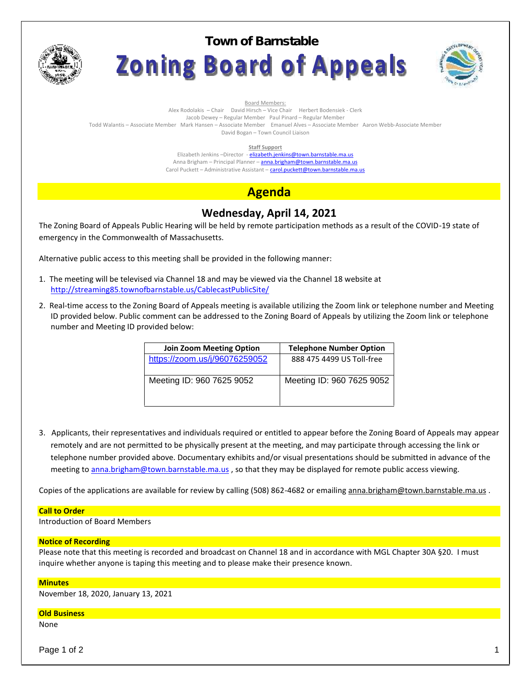

**Town of BarnstableZoning Board of Appeals** 



Board Members:

Alex Rodolakis – Chair David Hirsch – Vice Chair Herbert Bodensiek - Clerk Jacob Dewey – Regular Member Paul Pinard – Regular Member

Todd Walantis – Associate Member Mark Hansen – Associate Member Emanuel Alves – Associate Member Aaron Webb-Associate Member

David Bogan – Town Council Liaison

**Staff Support**

Elizabeth Jenkins -Director - elizabeth.jenkins@town.barnstable.ma.us Anna Brigham – Principal Planner – **anna.brigham@town.barnstable.ma.us** Carol Puckett – Administrative Assistant – carol.puckett@town.barnstable.ma.us

# **Agenda**

## **Wednesday, April 14, 2021**

The Zoning Board of Appeals Public Hearing will be held by remote participation methods as a result of the COVID-19 state of emergency in the Commonwealth of Massachusetts.

Alternative public access to this meeting shall be provided in the following manner:

- 1. The meeting will be televised via Channel 18 and may be viewed via the Channel 18 website at http://streaming85.townofbarnstable.us/CablecastPublicSite/
- 2. Real-time access to the Zoning Board of Appeals meeting is available utilizing the Zoom link or telephone number and Meeting ID provided below. Public comment can be addressed to the Zoning Board of Appeals by utilizing the Zoom link or telephone number and Meeting ID provided below:

| <b>Join Zoom Meeting Option</b> | <b>Telephone Number Option</b> |
|---------------------------------|--------------------------------|
| https://zoom.us/j/96076259052   | 888 475 4499 US Toll-free      |
| Meeting ID: 960 7625 9052       | Meeting ID: 960 7625 9052      |

3. Applicants, their representatives and individuals required or entitled to appear before the Zoning Board of Appeals may appear remotely and are not permitted to be physically present at the meeting, and may participate through accessing the link or telephone number provided above. Documentary exhibits and/or visual presentations should be submitted in advance of the meeting to anna.brigham@town.barnstable.ma.us, so that they may be displayed for remote public access viewing.

Copies of the applications are available for review by calling (508) 862-4682 or emailing anna.brigham@town.barnstable.ma.us .

### **Call to Order**

Introduction of Board Members

### **Notice of Recording**

Please note that this meeting is recorded and broadcast on Channel 18 and in accordance with MGL Chapter 30A §20. I must inquire whether anyone is taping this meeting and to please make their presence known.

### **Minutes**

November 18, 2020, January 13, 2021

#### **Old Business**

None

Page 1 of 2  $\qquad \qquad \qquad$  1  $\qquad \qquad$